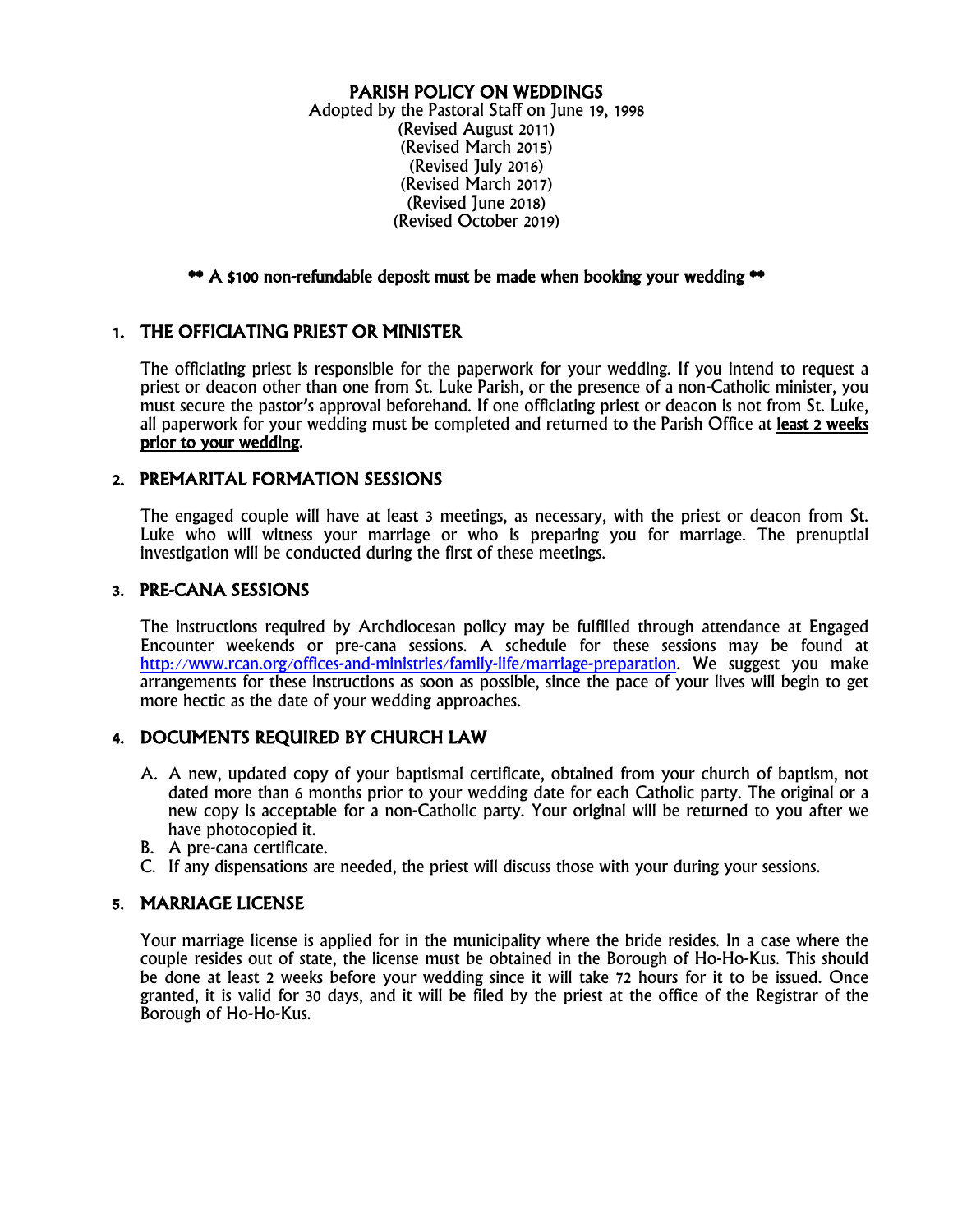### PARISH POLICY ON WEDDINGS

Adopted by the Pastoral Staff on June 19, 1998 (Revised August 2011) (Revised March 2015) (Revised July 2016) (Revised March 2017) (Revised June 2018) (Revised October 2019)

#### \*\* A \$100 non-refundable deposit must be made when booking your wedding \*\*

# 1. THE OFFICIATING PRIEST OR MINISTER

The officiating priest is responsible for the paperwork for your wedding. If you intend to request a priest or deacon other than one from St. Luke Parish, or the presence of a non-Catholic minister, you must secure the pastor's approval beforehand. If one officiating priest or deacon is not from St. Luke, all paperwork for your wedding must be completed and returned to the Parish Office at least 2 weeks prior to your wedding.

### 2. PREMARITAL FORMATION SESSIONS

The engaged couple will have at least 3 meetings, as necessary, with the priest or deacon from St. Luke who will witness your marriage or who is preparing you for marriage. The prenuptial investigation will be conducted during the first of these meetings.

### 3. PRE-CANA SESSIONS

The instructions required by Archdiocesan policy may be fulfilled through attendance at Engaged Encounter weekends or pre-cana sessions. A schedule for these sessions may be found at http://www.rcan.org/offices-and-ministries/family-life/marriage-preparation. We suggest you make arrangements for these instructions as soon as possible, since the pace of your lives will begin to get more hectic as the date of your wedding approaches.

# 4. DOCUMENTS REQUIRED BY CHURCH LAW

- A. A new, updated copy of your baptismal certificate, obtained from your church of baptism, not dated more than 6 months prior to your wedding date for each Catholic party. The original or a new copy is acceptable for a non-Catholic party. Your original will be returned to you after we have photocopied it.<br>B. A pre-cana certificate.
- 
- C. If any dispensations are needed, the priest will discuss those with your during your sessions.

#### 5. MARRIAGE LICENSE

Your marriage license is applied for in the municipality where the bride resides. In a case where the couple resides out of state, the license must be obtained in the Borough of Ho-Ho-Kus. This should be done at least 2 weeks before your wedding since it will take 72 hours for it to be issued. Once granted, it is valid for 30 days, and it will be filed by the priest at the office of the Registrar of the Borough of Ho-Ho-Kus.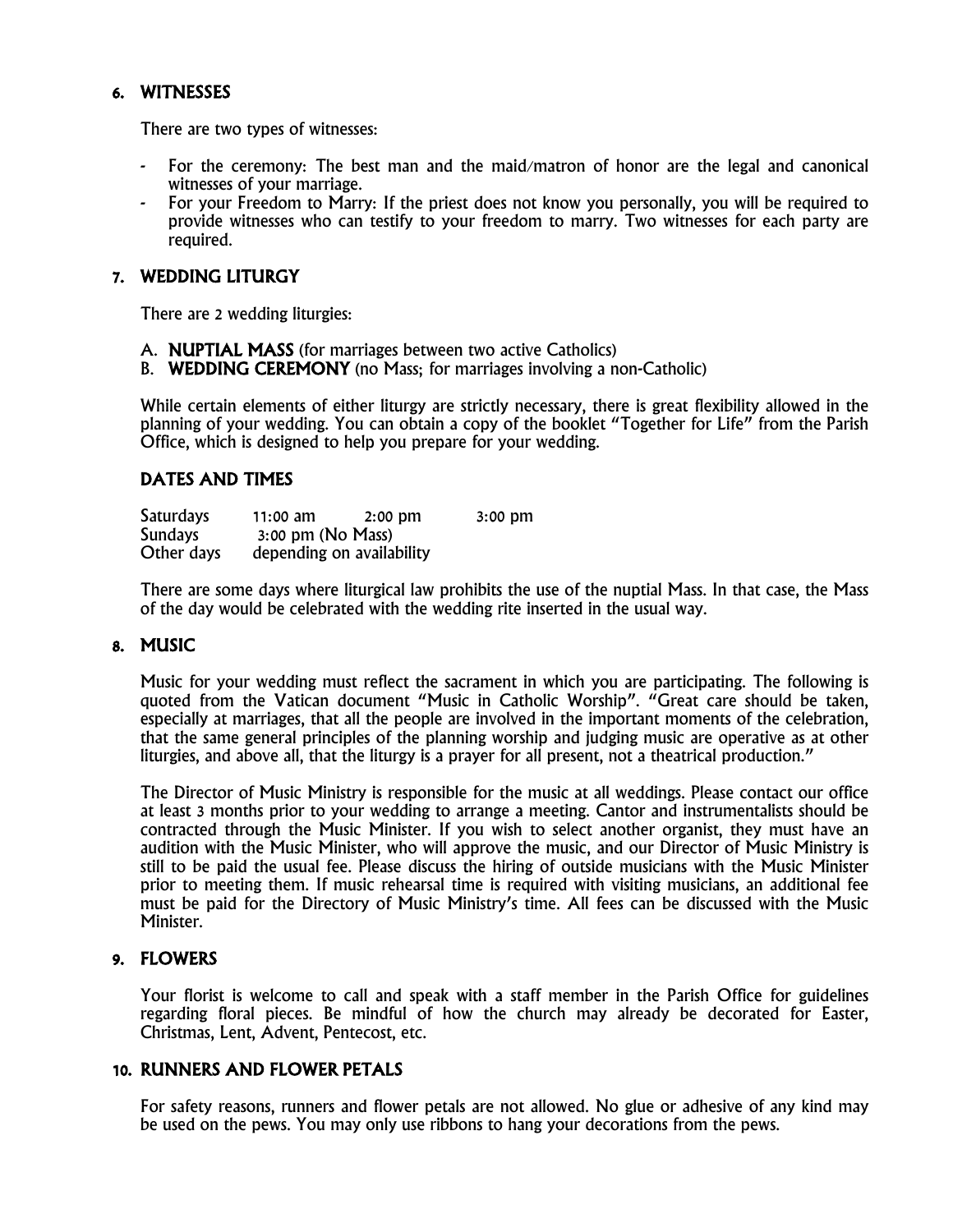### 6. WITNESSES

There are two types of witnesses:

- For the ceremony: The best man and the maid/matron of honor are the legal and canonical witnesses of your marriage.
- For your Freedom to Marry: If the priest does not know you personally, you will be required to provide witnesses who can testify to your freedom to marry. Two witnesses for each party are required.

#### 7. WEDDING LITURGY

There are 2 wedding liturgies:

- A. NUPTIAL MASS (for marriages between two active Catholics)
- B. WEDDING CEREMONY (no Mass; for marriages involving a non-Catholic)

While certain elements of either liturgy are strictly necessary, there is great flexibility allowed in the planning of your wedding. You can obtain a copy of the booklet "Together for Life" from the Parish Office, which is designed to help you prepare for your wedding.

### DATES AND TIMES

| <b>Saturdays</b> | $11:00$ am          | $2:00 \, \text{dm}$       | $3:00$ pm |
|------------------|---------------------|---------------------------|-----------|
| <b>Sundays</b>   | $3:00$ pm (No Mass) |                           |           |
| Other days       |                     | depending on availability |           |

There are some days where liturgical law prohibits the use of the nuptial Mass. In that case, the Mass of the day would be celebrated with the wedding rite inserted in the usual way.

#### 8. MUSIC

Music for your wedding must reflect the sacrament in which you are participating. The following is quoted from the Vatican document "Music in Catholic Worship". "Great care should be taken, especially at marriages, that all the people are involved in the important moments of the celebration, that the same general principles of the planning worship and judging music are operative as at other liturgies, and above all, that the liturgy is a prayer for all present, not a theatrical production."

The Director of Music Ministry is responsible for the music at all weddings. Please contact our office at least 3 months prior to your wedding to arrange a meeting. Cantor and instrumentalists should be contracted through the Music Minister. If you wish to select another organist, they must have an audition with the Music Minister, who will approve the music, and our Director of Music Ministry is still to be paid the usual fee. Please discuss the hiring of outside musicians with the Music Minister prior to meeting them. If music rehearsal time is required with visiting musicians, an additional fee must be paid for the Directory of Music Ministry's time. All fees can be discussed with the Music Minister.

#### 9. FLOWERS

Your florist is welcome to call and speak with a staff member in the Parish Office for guidelines regarding floral pieces. Be mindful of how the church may already be decorated for Easter, Christmas, Lent, Advent, Pentecost, etc.

#### 10. RUNNERS AND FLOWER PETALS

For safety reasons, runners and flower petals are not allowed. No glue or adhesive of any kind may be used on the pews. You may only use ribbons to hang your decorations from the pews.